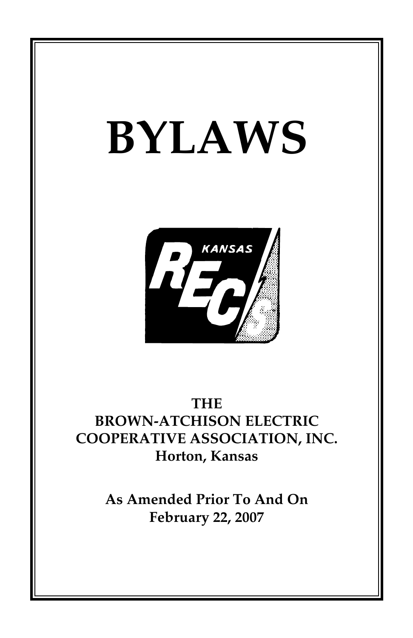# **BYLAWS**



# **THE BROWN-ATCHISON ELECTRIC COOPERATIVE ASSOCIATION, INC. Horton, Kansas**

**As Amended Prior To And On February 22, 2007**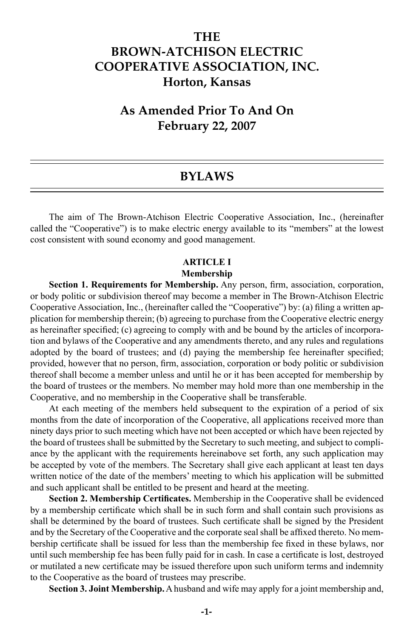## **THE BROWN-ATCHISON ELECTRIC COOPERATIVE ASSOCIATION, INC. Horton, Kansas**

## **As Amended Prior To And On February 22, 2007**

## **BYLAWS**

The aim of The Brown-Atchison Electric Cooperative Association, Inc., (hereinafter called the "Cooperative") is to make electric energy available to its "members" at the lowest cost consistent with sound economy and good management.

## **ARTICLE I**

#### **Membership**

**Section 1. Requirements for Membership.** Any person, firm, association, corporation, or body politic or subdivision thereof may become a member in The Brown-Atchison Electric Cooperative Association, Inc., (hereinafter called the "Cooperative") by: (a) filing a written application for membership therein; (b) agreeing to purchase from the Cooperative electric energy as hereinafter specified; (c) agreeing to comply with and be bound by the articles of incorporation and bylaws of the Cooperative and any amendments thereto, and any rules and regulations adopted by the board of trustees; and (d) paying the membership fee hereinafter specified; provided, however that no person, firm, association, corporation or body politic or subdivision thereof shall become a member unless and until he or it has been accepted for membership by the board of trustees or the members. No member may hold more than one membership in the Cooperative, and no membership in the Cooperative shall be transferable.

At each meeting of the members held subsequent to the expiration of a period of six months from the date of incorporation of the Cooperative, all applications received more than ninety days prior to such meeting which have not been accepted or which have been rejected by the board of trustees shall be submitted by the Secretary to such meeting, and subject to compliance by the applicant with the requirements hereinabove set forth, any such application may be accepted by vote of the members. The Secretary shall give each applicant at least ten days written notice of the date of the members' meeting to which his application will be submitted and such applicant shall be entitled to be present and heard at the meeting.

**Section 2. Membership Certificates.** Membership in the Cooperative shall be evidenced by a membership certificate which shall be in such form and shall contain such provisions as shall be determined by the board of trustees. Such certificate shall be signed by the President and by the Secretary of the Cooperative and the corporate seal shall be affixed thereto. No membership certificate shall be issued for less than the membership fee fixed in these bylaws, nor until such membership fee has been fully paid for in cash. In case a certificate is lost, destroyed or mutilated a new certificate may be issued therefore upon such uniform terms and indemnity to the Cooperative as the board of trustees may prescribe.

**Section 3. Joint Membership.** A husband and wife may apply for a joint membership and,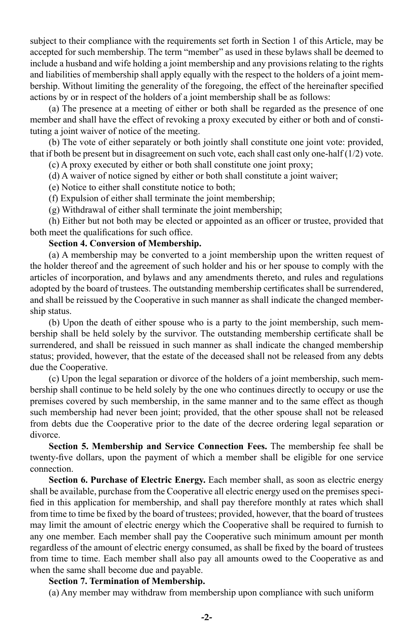subject to their compliance with the requirements set forth in Section 1 of this Article, may be accepted for such membership. The term "member" as used in these bylaws shall be deemed to include a husband and wife holding a joint membership and any provisions relating to the rights and liabilities of membership shall apply equally with the respect to the holders of a joint membership. Without limiting the generality of the foregoing, the effect of the hereinafter specified actions by or in respect of the holders of a joint membership shall be as follows:

(a) The presence at a meeting of either or both shall be regarded as the presence of one member and shall have the effect of revoking a proxy executed by either or both and of constituting a joint waiver of notice of the meeting.

(b) The vote of either separately or both jointly shall constitute one joint vote: provided, that if both be present but in disagreement on such vote, each shall cast only one-half  $(1/2)$  vote.

(c) A proxy executed by either or both shall constitute one joint proxy;

(d) A waiver of notice signed by either or both shall constitute a joint waiver;

(e) Notice to either shall constitute notice to both;

(f) Expulsion of either shall terminate the joint membership;

(g) Withdrawal of either shall terminate the joint membership;

(h) Either but not both may be elected or appointed as an officer or trustee, provided that both meet the qualifications for such office.

#### **Section 4. Conversion of Membership.**

(a) A membership may be converted to a joint membership upon the written request of the holder thereof and the agreement of such holder and his or her spouse to comply with the articles of incorporation, and bylaws and any amendments thereto, and rules and regulations adopted by the board of trustees. The outstanding membership certificates shall be surrendered, and shall be reissued by the Cooperative in such manner as shall indicate the changed membership status.

(b) Upon the death of either spouse who is a party to the joint membership, such membership shall be held solely by the survivor. The outstanding membership certificate shall be surrendered, and shall be reissued in such manner as shall indicate the changed membership status; provided, however, that the estate of the deceased shall not be released from any debts due the Cooperative.

(c) Upon the legal separation or divorce of the holders of a joint membership, such membership shall continue to be held solely by the one who continues directly to occupy or use the premises covered by such membership, in the same manner and to the same effect as though such membership had never been joint; provided, that the other spouse shall not be released from debts due the Cooperative prior to the date of the decree ordering legal separation or divorce.

**Section 5. Membership and Service Connection Fees.** The membership fee shall be twenty-five dollars, upon the payment of which a member shall be eligible for one service connection.

**Section 6. Purchase of Electric Energy.** Each member shall, as soon as electric energy shall be available, purchase from the Cooperative all electric energy used on the premises specified in this application for membership, and shall pay therefore monthly at rates which shall from time to time be fixed by the board of trustees; provided, however, that the board of trustees may limit the amount of electric energy which the Cooperative shall be required to furnish to any one member. Each member shall pay the Cooperative such minimum amount per month regardless of the amount of electric energy consumed, as shall be fixed by the board of trustees from time to time. Each member shall also pay all amounts owed to the Cooperative as and when the same shall become due and payable.

#### **Section 7. Termination of Membership.**

(a) Any member may withdraw from membership upon compliance with such uniform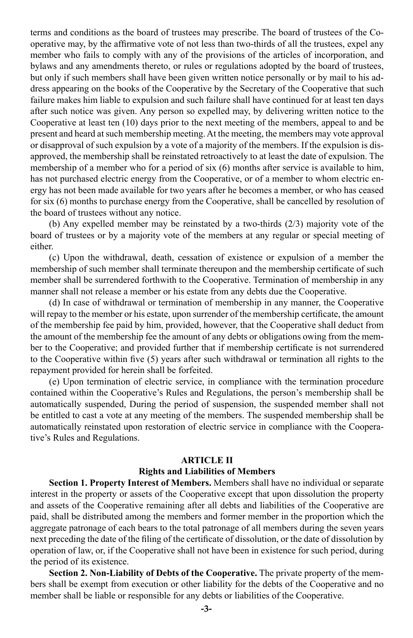terms and conditions as the board of trustees may prescribe. The board of trustees of the Cooperative may, by the affirmative vote of not less than two-thirds of all the trustees, expel any member who fails to comply with any of the provisions of the articles of incorporation, and bylaws and any amendments thereto, or rules or regulations adopted by the board of trustees, but only if such members shall have been given written notice personally or by mail to his address appearing on the books of the Cooperative by the Secretary of the Cooperative that such failure makes him liable to expulsion and such failure shall have continued for at least ten days after such notice was given. Any person so expelled may, by delivering written notice to the Cooperative at least ten (10) days prior to the next meeting of the members, appeal to and be present and heard at such membership meeting. At the meeting, the members may vote approval or disapproval of such expulsion by a vote of a majority of the members. If the expulsion is disapproved, the membership shall be reinstated retroactively to at least the date of expulsion. The membership of a member who for a period of six (6) months after service is available to him, has not purchased electric energy from the Cooperative, or of a member to whom electric energy has not been made available for two years after he becomes a member, or who has ceased for six (6) months to purchase energy from the Cooperative, shall be cancelled by resolution of the board of trustees without any notice.

(b) Any expelled member may be reinstated by a two-thirds (2/3) majority vote of the board of trustees or by a majority vote of the members at any regular or special meeting of either.

(c) Upon the withdrawal, death, cessation of existence or expulsion of a member the membership of such member shall terminate thereupon and the membership certificate of such member shall be surrendered forthwith to the Cooperative. Termination of membership in any manner shall not release a member or his estate from any debts due the Cooperative.

(d) In case of withdrawal or termination of membership in any manner, the Cooperative will repay to the member or his estate, upon surrender of the membership certificate, the amount of the membership fee paid by him, provided, however, that the Cooperative shall deduct from the amount of the membership fee the amount of any debts or obligations owing from the member to the Cooperative; and provided further that if membership certificate is not surrendered to the Cooperative within five (5) years after such withdrawal or termination all rights to the repayment provided for herein shall be forfeited.

(e) Upon termination of electric service, in compliance with the termination procedure contained within the Cooperative's Rules and Regulations, the person's membership shall be automatically suspended, During the period of suspension, the suspended member shall not be entitled to cast a vote at any meeting of the members. The suspended membership shall be automatically reinstated upon restoration of electric service in compliance with the Cooperative's Rules and Regulations.

#### **ARTICLE II**

#### **Rights and Liabilities of Members**

**Section 1. Property Interest of Members.** Members shall have no individual or separate interest in the property or assets of the Cooperative except that upon dissolution the property and assets of the Cooperative remaining after all debts and liabilities of the Cooperative are paid, shall be distributed among the members and former member in the proportion which the aggregate patronage of each bears to the total patronage of all members during the seven years next preceding the date of the filing of the certificate of dissolution, or the date of dissolution by operation of law, or, if the Cooperative shall not have been in existence for such period, during the period of its existence.

**Section 2. Non-Liability of Debts of the Cooperative.** The private property of the members shall be exempt from execution or other liability for the debts of the Cooperative and no member shall be liable or responsible for any debts or liabilities of the Cooperative.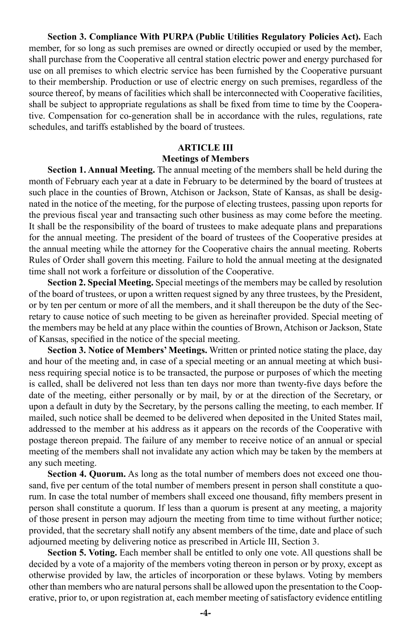**Section 3. Compliance With PURPA (Public Utilities Regulatory Policies Act).** Each member, for so long as such premises are owned or directly occupied or used by the member, shall purchase from the Cooperative all central station electric power and energy purchased for use on all premises to which electric service has been furnished by the Cooperative pursuant to their membership. Production or use of electric energy on such premises, regardless of the source thereof, by means of facilities which shall be interconnected with Cooperative facilities, shall be subject to appropriate regulations as shall be fixed from time to time by the Cooperative. Compensation for co-generation shall be in accordance with the rules, regulations, rate schedules, and tariffs established by the board of trustees.

#### **ARTICLE III Meetings of Members**

**Section 1. Annual Meeting.** The annual meeting of the members shall be held during the month of February each year at a date in February to be determined by the board of trustees at such place in the counties of Brown, Atchison or Jackson, State of Kansas, as shall be designated in the notice of the meeting, for the purpose of electing trustees, passing upon reports for the previous fiscal year and transacting such other business as may come before the meeting. It shall be the responsibility of the board of trustees to make adequate plans and preparations for the annual meeting. The president of the board of trustees of the Cooperative presides at the annual meeting while the attorney for the Cooperative chairs the annual meeting. Roberts Rules of Order shall govern this meeting. Failure to hold the annual meeting at the designated time shall not work a forfeiture or dissolution of the Cooperative.

**Section 2. Special Meeting.** Special meetings of the members may be called by resolution of the board of trustees, or upon a written request signed by any three trustees, by the President, or by ten per centum or more of all the members, and it shall thereupon be the duty of the Secretary to cause notice of such meeting to be given as hereinafter provided. Special meeting of the members may be held at any place within the counties of Brown, Atchison or Jackson, State of Kansas, specified in the notice of the special meeting.

**Section 3. Notice of Members' Meetings.** Written or printed notice stating the place, day and hour of the meeting and, in case of a special meeting or an annual meeting at which business requiring special notice is to be transacted, the purpose or purposes of which the meeting is called, shall be delivered not less than ten days nor more than twenty-five days before the date of the meeting, either personally or by mail, by or at the direction of the Secretary, or upon a default in duty by the Secretary, by the persons calling the meeting, to each member. If mailed, such notice shall be deemed to be delivered when deposited in the United States mail, addressed to the member at his address as it appears on the records of the Cooperative with postage thereon prepaid. The failure of any member to receive notice of an annual or special meeting of the members shall not invalidate any action which may be taken by the members at any such meeting.

**Section 4. Quorum.** As long as the total number of members does not exceed one thousand, five per centum of the total number of members present in person shall constitute a quorum. In case the total number of members shall exceed one thousand, fifty members present in person shall constitute a quorum. If less than a quorum is present at any meeting, a majority of those present in person may adjourn the meeting from time to time without further notice; provided, that the secretary shall notify any absent members of the time, date and place of such adjourned meeting by delivering notice as prescribed in Article III, Section 3.

**Section 5. Voting.** Each member shall be entitled to only one vote. All questions shall be decided by a vote of a majority of the members voting thereon in person or by proxy, except as otherwise provided by law, the articles of incorporation or these bylaws. Voting by members other than members who are natural persons shall be allowed upon the presentation to the Cooperative, prior to, or upon registration at, each member meeting of satisfactory evidence entitling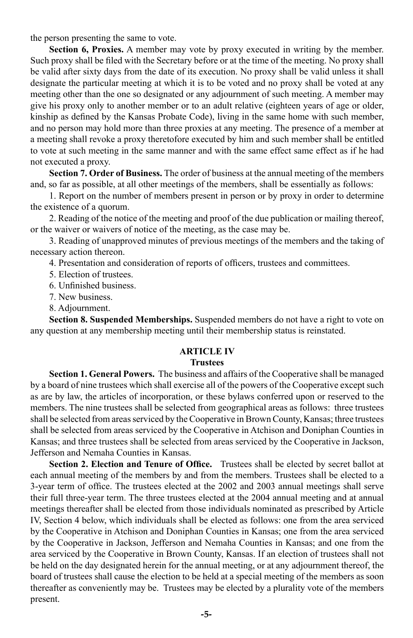the person presenting the same to vote.

**Section 6, Proxies.** A member may vote by proxy executed in writing by the member. Such proxy shall be filed with the Secretary before or at the time of the meeting. No proxy shall be valid after sixty days from the date of its execution. No proxy shall be valid unless it shall designate the particular meeting at which it is to be voted and no proxy shall be voted at any meeting other than the one so designated or any adjournment of such meeting. A member may give his proxy only to another member or to an adult relative (eighteen years of age or older, kinship as defined by the Kansas Probate Code), living in the same home with such member, and no person may hold more than three proxies at any meeting. The presence of a member at a meeting shall revoke a proxy theretofore executed by him and such member shall be entitled to vote at such meeting in the same manner and with the same effect same effect as if he had not executed a proxy.

**Section 7. Order of Business.** The order of business at the annual meeting of the members and, so far as possible, at all other meetings of the members, shall be essentially as follows:

1. Report on the number of members present in person or by proxy in order to determine the existence of a quorum.

2. Reading of the notice of the meeting and proof of the due publication or mailing thereof, or the waiver or waivers of notice of the meeting, as the case may be.

3. Reading of unapproved minutes of previous meetings of the members and the taking of necessary action thereon.

4. Presentation and consideration of reports of officers, trustees and committees.

- 5. Election of trustees.
- 6. Unfinished business.
- 7. New business.
- 8. Adjournment.

**Section 8. Suspended Memberships.** Suspended members do not have a right to vote on any question at any membership meeting until their membership status is reinstated.

#### **ARTICLE IV**

#### **Trustees**

**Section 1. General Powers.** The business and affairs of the Cooperative shall be managed by a board of nine trustees which shall exercise all of the powers of the Cooperative except such as are by law, the articles of incorporation, or these bylaws conferred upon or reserved to the members. The nine trustees shall be selected from geographical areas as follows: three trustees shall be selected from areas serviced by the Cooperative in Brown County, Kansas; three trustees shall be selected from areas serviced by the Cooperative in Atchison and Doniphan Counties in Kansas; and three trustees shall be selected from areas serviced by the Cooperative in Jackson, Jefferson and Nemaha Counties in Kansas.

**Section 2. Election and Tenure of Office.** Trustees shall be elected by secret ballot at each annual meeting of the members by and from the members. Trustees shall be elected to a 3-year term of office. The trustees elected at the 2002 and 2003 annual meetings shall serve their full three-year term. The three trustees elected at the 2004 annual meeting and at annual meetings thereafter shall be elected from those individuals nominated as prescribed by Article IV, Section 4 below, which individuals shall be elected as follows: one from the area serviced by the Cooperative in Atchison and Doniphan Counties in Kansas; one from the area serviced by the Cooperative in Jackson, Jefferson and Nemaha Counties in Kansas; and one from the area serviced by the Cooperative in Brown County, Kansas. If an election of trustees shall not be held on the day designated herein for the annual meeting, or at any adjournment thereof, the board of trustees shall cause the election to be held at a special meeting of the members as soon thereafter as conveniently may be. Trustees may be elected by a plurality vote of the members present.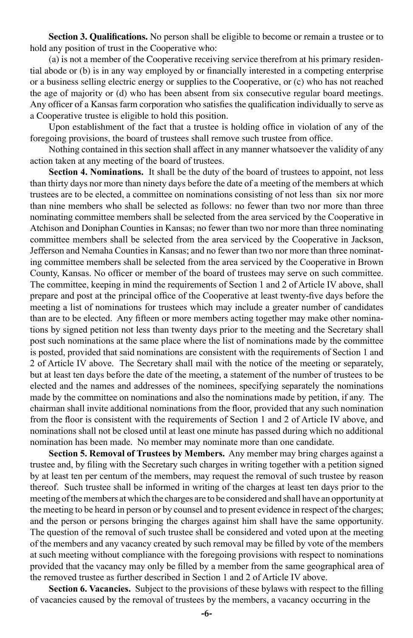**Section 3. Qualifications.** No person shall be eligible to become or remain a trustee or to hold any position of trust in the Cooperative who:

(a) is not a member of the Cooperative receiving service therefrom at his primary residential abode or (b) is in any way employed by or financially interested in a competing enterprise or a business selling electric energy or supplies to the Cooperative, or (c) who has not reached the age of majority or (d) who has been absent from six consecutive regular board meetings. Any officer of a Kansas farm corporation who satisfies the qualification individually to serve as a Cooperative trustee is eligible to hold this position.

Upon establishment of the fact that a trustee is holding office in violation of any of the foregoing provisions, the board of trustees shall remove such trustee from office.

Nothing contained in this section shall affect in any manner whatsoever the validity of any action taken at any meeting of the board of trustees.

**Section 4. Nominations.** It shall be the duty of the board of trustees to appoint, not less than thirty days nor more than ninety days before the date of a meeting of the members at which trustees are to be elected, a committee on nominations consisting of not less than six nor more than nine members who shall be selected as follows: no fewer than two nor more than three nominating committee members shall be selected from the area serviced by the Cooperative in Atchison and Doniphan Counties in Kansas; no fewer than two nor more than three nominating committee members shall be selected from the area serviced by the Cooperative in Jackson, Jefferson and Nemaha Counties in Kansas; and no fewer than two nor more than three nominating committee members shall be selected from the area serviced by the Cooperative in Brown County, Kansas. No officer or member of the board of trustees may serve on such committee. The committee, keeping in mind the requirements of Section 1 and 2 of Article IV above, shall prepare and post at the principal office of the Cooperative at least twenty-five days before the meeting a list of nominations for trustees which may include a greater number of candidates than are to be elected. Any fifteen or more members acting together may make other nominations by signed petition not less than twenty days prior to the meeting and the Secretary shall post such nominations at the same place where the list of nominations made by the committee is posted, provided that said nominations are consistent with the requirements of Section 1 and 2 of Article IV above. The Secretary shall mail with the notice of the meeting or separately, but at least ten days before the date of the meeting, a statement of the number of trustees to be elected and the names and addresses of the nominees, specifying separately the nominations made by the committee on nominations and also the nominations made by petition, if any. The chairman shall invite additional nominations from the floor, provided that any such nomination from the floor is consistent with the requirements of Section 1 and 2 of Article IV above, and nominations shall not be closed until at least one minute has passed during which no additional nomination has been made. No member may nominate more than one candidate.

**Section 5. Removal of Trustees by Members.** Any member may bring charges against a trustee and, by filing with the Secretary such charges in writing together with a petition signed by at least ten per centum of the members, may request the removal of such trustee by reason thereof. Such trustee shall be informed in writing of the charges at least ten days prior to the meeting of the members at which the charges are to be considered and shall have an opportunity at the meeting to be heard in person or by counsel and to present evidence in respect of the charges; and the person or persons bringing the charges against him shall have the same opportunity. The question of the removal of such trustee shall be considered and voted upon at the meeting of the members and any vacancy created by such removal may be filled by vote of the members at such meeting without compliance with the foregoing provisions with respect to nominations provided that the vacancy may only be filled by a member from the same geographical area of the removed trustee as further described in Section 1 and 2 of Article IV above.

**Section 6. Vacancies.** Subject to the provisions of these bylaws with respect to the filling of vacancies caused by the removal of trustees by the members, a vacancy occurring in the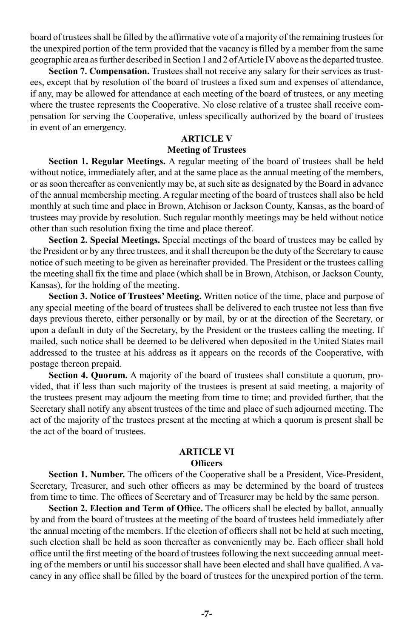board of trustees shall be filled by the affirmative vote of a majority of the remaining trustees for the unexpired portion of the term provided that the vacancy is filled by a member from the same geographic area as further described in Section 1 and 2 of Article IV above as the departed trustee.

Section 7. Compensation. Trustees shall not receive any salary for their services as trustees, except that by resolution of the board of trustees a fixed sum and expenses of attendance, if any, may be allowed for attendance at each meeting of the board of trustees, or any meeting where the trustee represents the Cooperative. No close relative of a trustee shall receive compensation for serving the Cooperative, unless specifically authorized by the board of trustees in event of an emergency.

#### **ARTICLE V**

#### **Meeting of Trustees**

**Section 1. Regular Meetings.** A regular meeting of the board of trustees shall be held without notice, immediately after, and at the same place as the annual meeting of the members, or as soon thereafter as conveniently may be, at such site as designated by the Board in advance of the annual membership meeting. A regular meeting of the board of trustees shall also be held monthly at such time and place in Brown, Atchison or Jackson County, Kansas, as the board of trustees may provide by resolution. Such regular monthly meetings may be held without notice other than such resolution fixing the time and place thereof.

**Section 2. Special Meetings.** Special meetings of the board of trustees may be called by the President or by any three trustees, and it shall thereupon be the duty of the Secretary to cause notice of such meeting to be given as hereinafter provided. The President or the trustees calling the meeting shall fix the time and place (which shall be in Brown, Atchison, or Jackson County, Kansas), for the holding of the meeting.

**Section 3. Notice of Trustees' Meeting.** Written notice of the time, place and purpose of any special meeting of the board of trustees shall be delivered to each trustee not less than five days previous thereto, either personally or by mail, by or at the direction of the Secretary, or upon a default in duty of the Secretary, by the President or the trustees calling the meeting. If mailed, such notice shall be deemed to be delivered when deposited in the United States mail addressed to the trustee at his address as it appears on the records of the Cooperative, with postage thereon prepaid.

**Section 4. Quorum.** A majority of the board of trustees shall constitute a quorum, provided, that if less than such majority of the trustees is present at said meeting, a majority of the trustees present may adjourn the meeting from time to time; and provided further, that the Secretary shall notify any absent trustees of the time and place of such adjourned meeting. The act of the majority of the trustees present at the meeting at which a quorum is present shall be the act of the board of trustees.

#### **ARTICLE VI Officers**

Section 1. Number. The officers of the Cooperative shall be a President, Vice-President, Secretary, Treasurer, and such other officers as may be determined by the board of trustees from time to time. The offices of Secretary and of Treasurer may be held by the same person.

**Section 2. Election and Term of Office.** The officers shall be elected by ballot, annually by and from the board of trustees at the meeting of the board of trustees held immediately after the annual meeting of the members. If the election of officers shall not be held at such meeting, such election shall be held as soon thereafter as conveniently may be. Each officer shall hold office until the first meeting of the board of trustees following the next succeeding annual meeting of the members or until his successor shall have been elected and shall have qualified. A vacancy in any office shall be filled by the board of trustees for the unexpired portion of the term.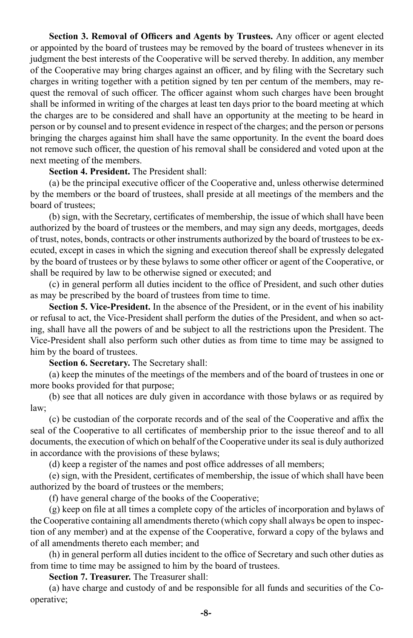**Section 3. Removal of Officers and Agents by Trustees.** Any officer or agent elected or appointed by the board of trustees may be removed by the board of trustees whenever in its judgment the best interests of the Cooperative will be served thereby. In addition, any member of the Cooperative may bring charges against an officer, and by filing with the Secretary such charges in writing together with a petition signed by ten per centum of the members, may request the removal of such officer. The officer against whom such charges have been brought shall be informed in writing of the charges at least ten days prior to the board meeting at which the charges are to be considered and shall have an opportunity at the meeting to be heard in person or by counsel and to present evidence in respect of the charges; and the person or persons bringing the charges against him shall have the same opportunity. In the event the board does not remove such officer, the question of his removal shall be considered and voted upon at the next meeting of the members.

#### **Section 4. President.** The President shall:

(a) be the principal executive officer of the Cooperative and, unless otherwise determined by the members or the board of trustees, shall preside at all meetings of the members and the board of trustees;

(b) sign, with the Secretary, certificates of membership, the issue of which shall have been authorized by the board of trustees or the members, and may sign any deeds, mortgages, deeds of trust, notes, bonds, contracts or other instruments authorized by the board of trustees to be executed, except in cases in which the signing and execution thereof shall be expressly delegated by the board of trustees or by these bylaws to some other officer or agent of the Cooperative, or shall be required by law to be otherwise signed or executed; and

(c) in general perform all duties incident to the office of President, and such other duties as may be prescribed by the board of trustees from time to time.

**Section 5. Vice-President.** In the absence of the President, or in the event of his inability or refusal to act, the Vice-President shall perform the duties of the President, and when so acting, shall have all the powers of and be subject to all the restrictions upon the President. The Vice-President shall also perform such other duties as from time to time may be assigned to him by the board of trustees.

**Section 6. Secretary.** The Secretary shall:

(a) keep the minutes of the meetings of the members and of the board of trustees in one or more books provided for that purpose;

(b) see that all notices are duly given in accordance with those bylaws or as required by law;

(c) be custodian of the corporate records and of the seal of the Cooperative and affix the seal of the Cooperative to all certificates of membership prior to the issue thereof and to all documents, the execution of which on behalf of the Cooperative under its seal is duly authorized in accordance with the provisions of these bylaws;

(d) keep a register of the names and post office addresses of all members;

(e) sign, with the President, certificates of membership, the issue of which shall have been authorized by the board of trustees or the members;

(f) have general charge of the books of the Cooperative;

(g) keep on file at all times a complete copy of the articles of incorporation and bylaws of the Cooperative containing all amendments thereto (which copy shall always be open to inspection of any member) and at the expense of the Cooperative, forward a copy of the bylaws and of all amendments thereto each member; and

(h) in general perform all duties incident to the office of Secretary and such other duties as from time to time may be assigned to him by the board of trustees.

**Section 7. Treasurer.** The Treasurer shall:

(a) have charge and custody of and be responsible for all funds and securities of the Cooperative;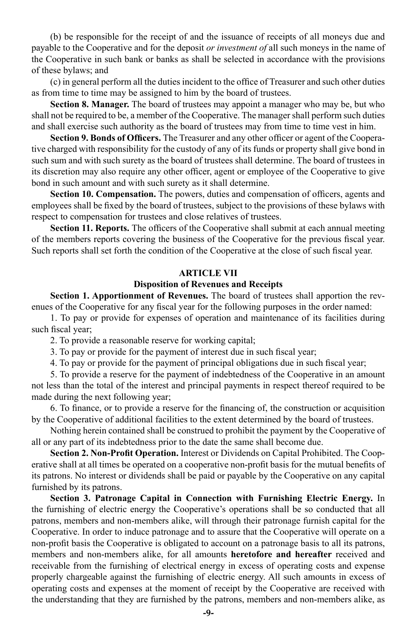(b) be responsible for the receipt of and the issuance of receipts of all moneys due and payable to the Cooperative and for the deposit *or investment of* all such moneys in the name of the Cooperative in such bank or banks as shall be selected in accordance with the provisions of these bylaws; and

(c) in general perform all the duties incident to the office of Treasurer and such other duties as from time to time may be assigned to him by the board of trustees.

**Section 8. Manager.** The board of trustees may appoint a manager who may be, but who shall not be required to be, a member of the Cooperative. The manager shall perform such duties and shall exercise such authority as the board of trustees may from time to time vest in him.

**Section 9. Bonds of Officers.** The Treasurer and any other officer or agent of the Cooperative charged with responsibility for the custody of any of its funds or property shall give bond in such sum and with such surety as the board of trustees shall determine. The board of trustees in its discretion may also require any other officer, agent or employee of the Cooperative to give bond in such amount and with such surety as it shall determine.

**Section 10. Compensation.** The powers, duties and compensation of officers, agents and employees shall be fixed by the board of trustees, subject to the provisions of these bylaws with respect to compensation for trustees and close relatives of trustees.

**Section 11. Reports.** The officers of the Cooperative shall submit at each annual meeting of the members reports covering the business of the Cooperative for the previous fiscal year. Such reports shall set forth the condition of the Cooperative at the close of such fiscal year.

#### **ARTICLE VII**

#### **Disposition of Revenues and Receipts**

**Section 1. Apportionment of Revenues.** The board of trustees shall apportion the revenues of the Cooperative for any fiscal year for the following purposes in the order named:

1. To pay or provide for expenses of operation and maintenance of its facilities during such fiscal year;

- 2. To provide a reasonable reserve for working capital;
- 3. To pay or provide for the payment of interest due in such fiscal year;

4. To pay or provide for the payment of principal obligations due in such fiscal year;

5. To provide a reserve for the payment of indebtedness of the Cooperative in an amount not less than the total of the interest and principal payments in respect thereof required to be made during the next following year;

6. To finance, or to provide a reserve for the financing of, the construction or acquisition by the Cooperative of additional facilities to the extent determined by the board of trustees.

Nothing herein contained shall be construed to prohibit the payment by the Cooperative of all or any part of its indebtedness prior to the date the same shall become due.

**Section 2. Non-Profit Operation.** Interest or Dividends on Capital Prohibited. The Cooperative shall at all times be operated on a cooperative non-profit basis for the mutual benefits of its patrons. No interest or dividends shall be paid or payable by the Cooperative on any capital furnished by its patrons.

**Section 3. Patronage Capital in Connection with Furnishing Electric Energy.** In the furnishing of electric energy the Cooperative's operations shall be so conducted that all patrons, members and non-members alike, will through their patronage furnish capital for the Cooperative. In order to induce patronage and to assure that the Cooperative will operate on a non-profit basis the Cooperative is obligated to account on a patronage basis to all its patrons, members and non-members alike, for all amounts **heretofore and hereafter** received and receivable from the furnishing of electrical energy in excess of operating costs and expense properly chargeable against the furnishing of electric energy. All such amounts in excess of operating costs and expenses at the moment of receipt by the Cooperative are received with the understanding that they are furnished by the patrons, members and non-members alike, as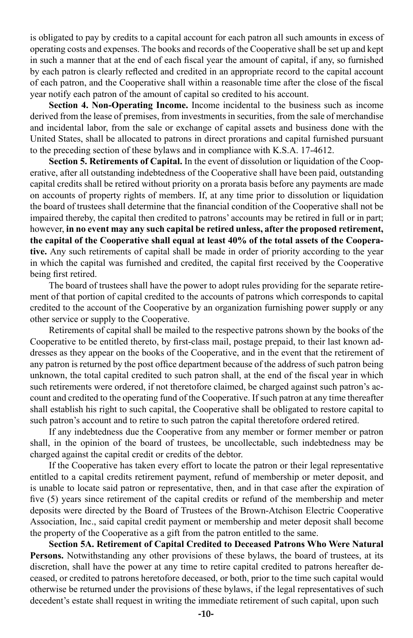is obligated to pay by credits to a capital account for each patron all such amounts in excess of operating costs and expenses. The books and records of the Cooperative shall be set up and kept in such a manner that at the end of each fiscal year the amount of capital, if any, so furnished by each patron is clearly reflected and credited in an appropriate record to the capital account of each patron, and the Cooperative shall within a reasonable time after the close of the fiscal year notify each patron of the amount of capital so credited to his account.

**Section 4. Non-Operating Income.** Income incidental to the business such as income derived from the lease of premises, from investments in securities, from the sale of merchandise and incidental labor, from the sale or exchange of capital assets and business done with the United States, shall be allocated to patrons in direct prorations and capital furnished pursuant to the preceding section of these bylaws and in compliance with K.S.A. 17-4612.

**Section 5. Retirements of Capital.** In the event of dissolution or liquidation of the Cooperative, after all outstanding indebtedness of the Cooperative shall have been paid, outstanding capital credits shall be retired without priority on a prorata basis before any payments are made on accounts of property rights of members. If, at any time prior to dissolution or liquidation the board of trustees shall determine that the financial condition of the Cooperative shall not be impaired thereby, the capital then credited to patrons' accounts may be retired in full or in part; however, **in no event may any such capital be retired unless, after the proposed retirement, the capital of the Cooperative shall equal at least 40% of the total assets of the Cooperative.** Any such retirements of capital shall be made in order of priority according to the year in which the capital was furnished and credited, the capital first received by the Cooperative being first retired.

The board of trustees shall have the power to adopt rules providing for the separate retirement of that portion of capital credited to the accounts of patrons which corresponds to capital credited to the account of the Cooperative by an organization furnishing power supply or any other service or supply to the Cooperative.

Retirements of capital shall be mailed to the respective patrons shown by the books of the Cooperative to be entitled thereto, by first-class mail, postage prepaid, to their last known addresses as they appear on the books of the Cooperative, and in the event that the retirement of any patron is returned by the post office department because of the address of such patron being unknown, the total capital credited to such patron shall, at the end of the fiscal year in which such retirements were ordered, if not theretofore claimed, be charged against such patron's account and credited to the operating fund of the Cooperative. If such patron at any time thereafter shall establish his right to such capital, the Cooperative shall be obligated to restore capital to such patron's account and to retire to such patron the capital theretofore ordered retired.

If any indebtedness due the Cooperative from any member or former member or patron shall, in the opinion of the board of trustees, be uncollectable, such indebtedness may be charged against the capital credit or credits of the debtor.

If the Cooperative has taken every effort to locate the patron or their legal representative entitled to a capital credits retirement payment, refund of membership or meter deposit, and is unable to locate said patron or representative, then, and in that case after the expiration of five (5) years since retirement of the capital credits or refund of the membership and meter deposits were directed by the Board of Trustees of the Brown-Atchison Electric Cooperative Association, Inc., said capital credit payment or membership and meter deposit shall become the property of the Cooperative as a gift from the patron entitled to the same.

**Section 5A. Retirement of Capital Credited to Deceased Patrons Who Were Natural**  Persons. Notwithstanding any other provisions of these bylaws, the board of trustees, at its discretion, shall have the power at any time to retire capital credited to patrons hereafter deceased, or credited to patrons heretofore deceased, or both, prior to the time such capital would otherwise be returned under the provisions of these bylaws, if the legal representatives of such decedent's estate shall request in writing the immediate retirement of such capital, upon such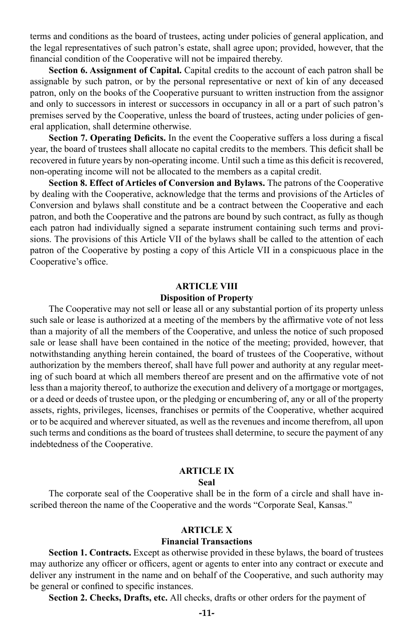terms and conditions as the board of trustees, acting under policies of general application, and the legal representatives of such patron's estate, shall agree upon; provided, however, that the financial condition of the Cooperative will not be impaired thereby.

**Section 6. Assignment of Capital.** Capital credits to the account of each patron shall be assignable by such patron, or by the personal representative or next of kin of any deceased patron, only on the books of the Cooperative pursuant to written instruction from the assignor and only to successors in interest or successors in occupancy in all or a part of such patron's premises served by the Cooperative, unless the board of trustees, acting under policies of general application, shall determine otherwise.

**Section 7. Operating Deficits.** In the event the Cooperative suffers a loss during a fiscal year, the board of trustees shall allocate no capital credits to the members. This deficit shall be recovered in future years by non-operating income. Until such a time as this deficit is recovered, non-operating income will not be allocated to the members as a capital credit.

**Section 8. Effect of Articles of Conversion and Bylaws.** The patrons of the Cooperative by dealing with the Cooperative, acknowledge that the terms and provisions of the Articles of Conversion and bylaws shall constitute and be a contract between the Cooperative and each patron, and both the Cooperative and the patrons are bound by such contract, as fully as though each patron had individually signed a separate instrument containing such terms and provisions. The provisions of this Article VII of the bylaws shall be called to the attention of each patron of the Cooperative by posting a copy of this Article VII in a conspicuous place in the Cooperative's office.

#### **ARTICLE VIII**

#### **Disposition of Property**

The Cooperative may not sell or lease all or any substantial portion of its property unless such sale or lease is authorized at a meeting of the members by the affirmative vote of not less than a majority of all the members of the Cooperative, and unless the notice of such proposed sale or lease shall have been contained in the notice of the meeting; provided, however, that notwithstanding anything herein contained, the board of trustees of the Cooperative, without authorization by the members thereof, shall have full power and authority at any regular meeting of such board at which all members thereof are present and on the affirmative vote of not less than a majority thereof, to authorize the execution and delivery of a mortgage or mortgages, or a deed or deeds of trustee upon, or the pledging or encumbering of, any or all of the property assets, rights, privileges, licenses, franchises or permits of the Cooperative, whether acquired or to be acquired and wherever situated, as well as the revenues and income therefrom, all upon such terms and conditions as the board of trustees shall determine, to secure the payment of any indebtedness of the Cooperative.

#### **ARTICLE IX**

#### **Seal**

The corporate seal of the Cooperative shall be in the form of a circle and shall have inscribed thereon the name of the Cooperative and the words "Corporate Seal, Kansas."

#### **ARTICLE X Financial Transactions**

**Section 1. Contracts.** Except as otherwise provided in these bylaws, the board of trustees may authorize any officer or officers, agent or agents to enter into any contract or execute and deliver any instrument in the name and on behalf of the Cooperative, and such authority may be general or confined to specific instances.

**Section 2. Checks, Drafts, etc.** All checks, drafts or other orders for the payment of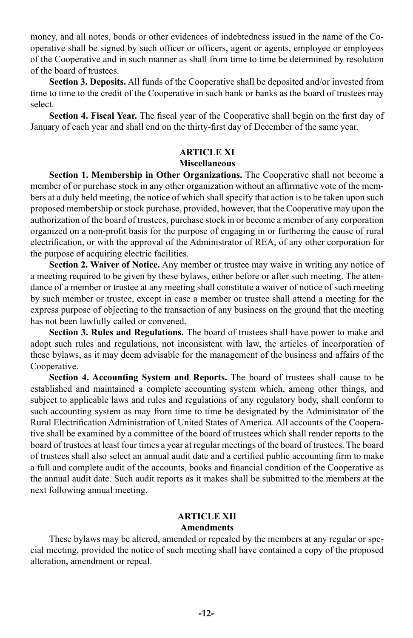money, and all notes, bonds or other evidences of indebtedness issued in the name of the Cooperative shall be signed by such officer or officers, agent or agents, employee or employees of the Cooperative and in such manner as shall from time to time be determined by resolution of the board of trustees.

**Section 3. Deposits.** All funds of the Cooperative shall be deposited and/or invested from time to time to the credit of the Cooperative in such bank or banks as the board of trustees may select.

**Section 4. Fiscal Year.** The fiscal year of the Cooperative shall begin on the first day of January of each year and shall end on the thirty-first day of December of the same year.

### **ARTICLE XI Miscellaneous**

**Section 1. Membership in Other Organizations.** The Cooperative shall not become a member of or purchase stock in any other organization without an affirmative vote of the members at a duly held meeting, the notice of which shall specify that action is to be taken upon such proposed membership or stock purchase, provided, however, that the Cooperative may upon the authorization of the board of trustees, purchase stock in or become a member of any corporation organized on a non-profit basis for the purpose of engaging in or furthering the cause of rural electrification, or with the approval of the Administrator of REA, of any other corporation for the purpose of acquiring electric facilities.

**Section 2. Waiver of Notice.** Any member or trustee may waive in writing any notice of a meeting required to be given by these bylaws, either before or after such meeting. The attendance of a member or trustee at any meeting shall constitute a waiver of notice of such meeting by such member or trustee, except in case a member or trustee shall attend a meeting for the express purpose of objecting to the transaction of any business on the ground that the meeting has not been lawfully called or convened.

**Section 3. Rules and Regulations.** The board of trustees shall have power to make and adopt such rules and regulations, not inconsistent with law, the articles of incorporation of these bylaws, as it may deem advisable for the management of the business and affairs of the Cooperative.

**Section 4. Accounting System and Reports.** The board of trustees shall cause to be established and maintained a complete accounting system which, among other things, and subject to applicable laws and rules and regulations of any regulatory body, shall conform to such accounting system as may from time to time be designated by the Administrator of the Rural Electrification Administration of United States of America. All accounts of the Cooperative shall be examined by a committee of the board of trustees which shall render reports to the board of trustees at least four times a year at regular meetings of the board of trustees. The board of trustees shall also select an annual audit date and a certified public accounting firm to make a full and complete audit of the accounts, books and financial condition of the Cooperative as the annual audit date. Such audit reports as it makes shall be submitted to the members at the next following annual meeting.

#### **ARTICLE XII Amendments**

These bylaws may be altered, amended or repealed by the members at any regular or special meeting, provided the notice of such meeting shall have contained a copy of the proposed alteration, amendment or repeal.